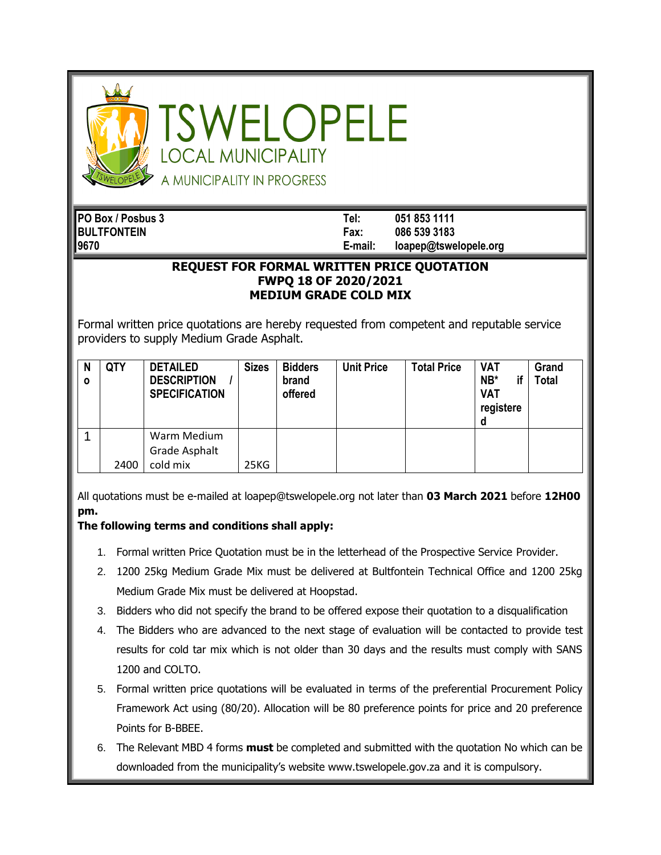

SWELOPELE **OCAL MUNICIPALITY** A MUNICIPALITY IN PROGRESS

**PO Box / Posbus 3 Tel: 051 853 1111 BULTFONTEIN Fax: 086 539 3183 9670 E-mail: loapep@tswelopele.org**

## **REQUEST FOR FORMAL WRITTEN PRICE QUOTATION FWPQ 18 OF 2020/2021 MEDIUM GRADE COLD MIX**

Formal written price quotations are hereby requested from competent and reputable service providers to supply Medium Grade Asphalt.

| N<br>$\mathbf{o}$ | QTY  | <b>DETAILED</b><br><b>DESCRIPTION</b><br><b>SPECIFICATION</b> | <b>Sizes</b> | <b>Bidders</b><br>brand<br>offered | <b>Unit Price</b> | <b>Total Price</b> | <b>VAT</b><br>$NB*$<br><b>VAT</b><br>registere<br>a | Grand<br><b>Total</b> |
|-------------------|------|---------------------------------------------------------------|--------------|------------------------------------|-------------------|--------------------|-----------------------------------------------------|-----------------------|
|                   | 2400 | Warm Medium<br>Grade Asphalt<br>cold mix                      | 25KG         |                                    |                   |                    |                                                     |                       |

All quotations must be e-mailed at loapep@tswelopele.org not later than **03 March 2021** before **12H00 pm.**

## **The following terms and conditions shall apply:**

- 1. Formal written Price Quotation must be in the letterhead of the Prospective Service Provider.
- 2. 1200 25kg Medium Grade Mix must be delivered at Bultfontein Technical Office and 1200 25kg Medium Grade Mix must be delivered at Hoopstad.
- 3. Bidders who did not specify the brand to be offered expose their quotation to a disqualification
- 4. The Bidders who are advanced to the next stage of evaluation will be contacted to provide test results for cold tar mix which is not older than 30 days and the results must comply with SANS 1200 and COLTO.
- 5. Formal written price quotations will be evaluated in terms of the preferential Procurement Policy Framework Act using (80/20). Allocation will be 80 preference points for price and 20 preference Points for B-BBEE.
- 6. The Relevant MBD 4 forms **must** be completed and submitted with the quotation No which can be downloaded from the municipality's website www.tswelopele.gov.za and it is compulsory.